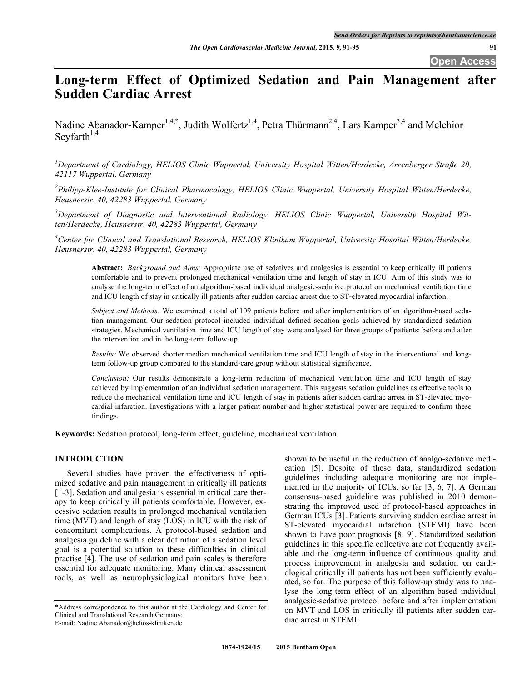# **Long-term Effect of Optimized Sedation and Pain Management after Sudden Cardiac Arrest**

Nadine Abanador-Kamper<sup>1,4,\*</sup>, Judith Wolfertz<sup>1,4</sup>, Petra Thürmann<sup>2,4</sup>, Lars Kamper<sup>3,4</sup> and Melchior Seyfarth $1,4$ 

*1 Department of Cardiology, HELIOS Clinic Wuppertal, University Hospital Witten/Herdecke, Arrenberger Straße 20, 42117 Wuppertal, Germany* 

*2 Philipp-Klee-Institute for Clinical Pharmacology, HELIOS Clinic Wuppertal, University Hospital Witten/Herdecke, Heusnerstr. 40, 42283 Wuppertal, Germany*

*3 Department of Diagnostic and Interventional Radiology, HELIOS Clinic Wuppertal, University Hospital Witten/Herdecke, Heusnerstr. 40, 42283 Wuppertal, Germany*

<sup>4</sup> Center for Clinical and Translational Research, HELIOS Klinikum Wuppertal, University Hospital Witten/Herdecke, *Heusnerstr. 40, 42283 Wuppertal, Germany*

**Abstract:** *Background and Aims:* Appropriate use of sedatives and analgesics is essential to keep critically ill patients comfortable and to prevent prolonged mechanical ventilation time and length of stay in ICU. Aim of this study was to analyse the long-term effect of an algorithm-based individual analgesic-sedative protocol on mechanical ventilation time and ICU length of stay in critically ill patients after sudden cardiac arrest due to ST-elevated myocardial infarction.

*Subject and Methods:* We examined a total of 109 patients before and after implementation of an algorithm-based sedation management. Our sedation protocol included individual defined sedation goals achieved by standardized sedation strategies. Mechanical ventilation time and ICU length of stay were analysed for three groups of patients: before and after the intervention and in the long-term follow-up.

*Results:* We observed shorter median mechanical ventilation time and ICU length of stay in the interventional and longterm follow-up group compared to the standard-care group without statistical significance.

*Conclusion:* Our results demonstrate a long-term reduction of mechanical ventilation time and ICU length of stay achieved by implementation of an individual sedation management. This suggests sedation guidelines as effective tools to reduce the mechanical ventilation time and ICU length of stay in patients after sudden cardiac arrest in ST-elevated myocardial infarction. Investigations with a larger patient number and higher statistical power are required to confirm these findings.

**Keywords:** Sedation protocol, long-term effect, guideline, mechanical ventilation.

# **INTRODUCTION**

Several studies have proven the effectiveness of optimized sedative and pain management in critically ill patients [1-3]. Sedation and analgesia is essential in critical care therapy to keep critically ill patients comfortable. However, excessive sedation results in prolonged mechanical ventilation time (MVT) and length of stay (LOS) in ICU with the risk of concomitant complications. A protocol-based sedation and analgesia guideline with a clear definition of a sedation level goal is a potential solution to these difficulties in clinical practise [4]. The use of sedation and pain scales is therefore essential for adequate monitoring. Many clinical assessment tools, as well as neurophysiological monitors have been

shown to be useful in the reduction of analgo-sedative medication [5]. Despite of these data, standardized sedation guidelines including adequate monitoring are not implemented in the majority of ICUs, so far [3, 6, 7]. A German consensus-based guideline was published in 2010 demonstrating the improved used of protocol-based approaches in German ICUs [3]. Patients surviving sudden cardiac arrest in ST-elevated myocardial infarction (STEMI) have been shown to have poor prognosis [8, 9]. Standardized sedation guidelines in this specific collective are not frequently available and the long-term influence of continuous quality and process improvement in analgesia and sedation on cardiological critically ill patients has not been sufficiently evaluated, so far. The purpose of this follow-up study was to analyse the long-term effect of an algorithm-based individual analgesic-sedative protocol before and after implementation on MVT and LOS in critically ill patients after sudden cardiac arrest in STEMI.

<sup>\*</sup>Address correspondence to this author at the Cardiology and Center for Clinical and Translational Research Germany; E-mail: Nadine.Abanador@helios-kliniken.de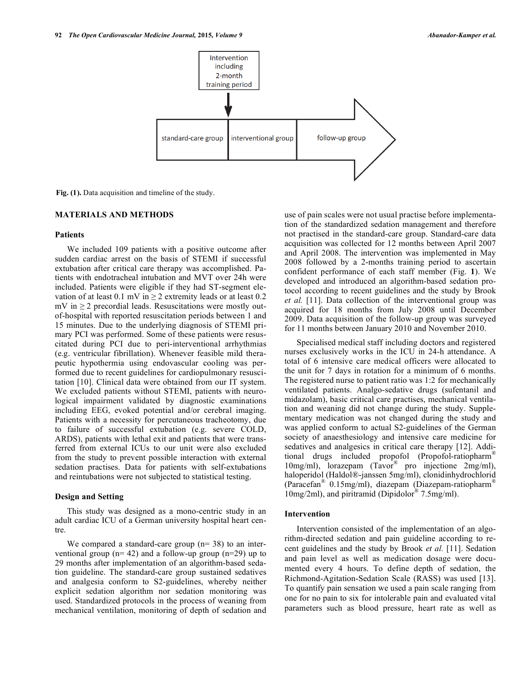

**Fig. (1).** Data acquisition and timeline of the study.

# **MATERIALS AND METHODS**

#### **Patients**

We included 109 patients with a positive outcome after sudden cardiac arrest on the basis of STEMI if successful extubation after critical care therapy was accomplished. Patients with endotracheal intubation and MVT over 24h were included. Patients were eligible if they had ST-segment elevation of at least 0.1 mV in  $\geq$  2 extremity leads or at least 0.2  $mV$  in  $\geq$  2 precordial leads. Resuscitations were mostly outof-hospital with reported resuscitation periods between 1 and 15 minutes. Due to the underlying diagnosis of STEMI primary PCI was performed. Some of these patients were resuscitated during PCI due to peri-interventional arrhythmias (e.g. ventricular fibrillation). Whenever feasible mild therapeutic hypothermia using endovascular cooling was performed due to recent guidelines for cardiopulmonary resuscitation [10]. Clinical data were obtained from our IT system. We excluded patients without STEMI, patients with neurological impairment validated by diagnostic examinations including EEG, evoked potential and/or cerebral imaging. Patients with a necessity for percutaneous tracheotomy, due to failure of successful extubation (e.g. severe COLD, ARDS), patients with lethal exit and patients that were transferred from external ICUs to our unit were also excluded from the study to prevent possible interaction with external sedation practises. Data for patients with self-extubations and reintubations were not subjected to statistical testing.

# **Design and Setting**

This study was designed as a mono-centric study in an adult cardiac ICU of a German university hospital heart centre.

We compared a standard-care group  $(n=38)$  to an interventional group ( $n= 42$ ) and a follow-up group ( $n=29$ ) up to 29 months after implementation of an algorithm-based sedation guideline. The standard-care group sustained sedatives and analgesia conform to S2-guidelines, whereby neither explicit sedation algorithm nor sedation monitoring was used. Standardized protocols in the process of weaning from mechanical ventilation, monitoring of depth of sedation and use of pain scales were not usual practise before implementation of the standardized sedation management and therefore not practised in the standard-care group. Standard-care data acquisition was collected for 12 months between April 2007 and April 2008. The intervention was implemented in May 2008 followed by a 2-months training period to ascertain confident performance of each staff member (Fig. **1**). We developed and introduced an algorithm-based sedation protocol according to recent guidelines and the study by Brook *et al.* [11]. Data collection of the interventional group was acquired for 18 months from July 2008 until December 2009. Data acquisition of the follow-up group was surveyed for 11 months between January 2010 and November 2010.

Specialised medical staff including doctors and registered nurses exclusively works in the ICU in 24-h attendance. A total of 6 intensive care medical officers were allocated to the unit for 7 days in rotation for a minimum of 6 months. The registered nurse to patient ratio was 1:2 for mechanically ventilated patients. Analgo-sedative drugs (sufentanil and midazolam), basic critical care practises, mechanical ventilation and weaning did not change during the study. Supplementary medication was not changed during the study and was applied conform to actual S2-guidelines of the German society of anaesthesiology and intensive care medicine for sedatives and analgesics in critical care therapy [12]. Additional drugs included propofol (Propofol-ratiopharm® 10mg/ml), lorazepam (Tavor® pro injectione 2mg/ml), haloperidol (Haldol®-janssen 5mg/ml), clonidinhydrochlorid (Paracefan<sup>®</sup> 0.15mg/ml), diazepam (Diazepam-ratiopharm<sup>®</sup>) 10mg/2ml), and piritramid (Dipidolor® 7.5mg/ml).

## **Intervention**

Intervention consisted of the implementation of an algorithm-directed sedation and pain guideline according to recent guidelines and the study by Brook *et al.* [11]. Sedation and pain level as well as medication dosage were documented every 4 hours. To define depth of sedation, the Richmond-Agitation-Sedation Scale (RASS) was used [13]. To quantify pain sensation we used a pain scale ranging from one for no pain to six for intolerable pain and evaluated vital parameters such as blood pressure, heart rate as well as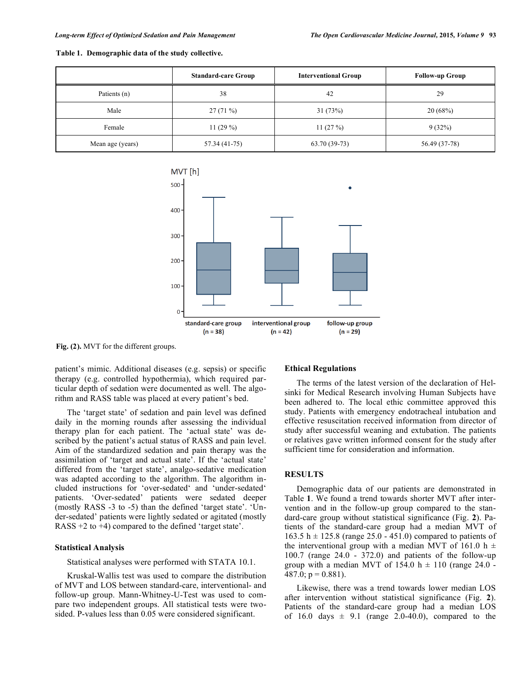|                  | <b>Standard-care Group</b> | <b>Interventional Group</b> | <b>Follow-up Group</b> |
|------------------|----------------------------|-----------------------------|------------------------|
| Patients (n)     | 38                         | 42                          | 29                     |
| Male             | 27(71%)                    | 31(73%)                     | 20(68%)                |
| Female           | 11 $(29%)$                 | 11 $(27%)$                  | 9(32%)                 |
| Mean age (years) | 57.34 (41-75)              | 63.70 (39-73)               | 56.49 (37-78)          |





**Fig. (2).** MVT for the different groups.

patient's mimic. Additional diseases (e.g. sepsis) or specific therapy (e.g. controlled hypothermia), which required particular depth of sedation were documented as well. The algorithm and RASS table was placed at every patient's bed.

The 'target state' of sedation and pain level was defined daily in the morning rounds after assessing the individual therapy plan for each patient. The 'actual state' was described by the patient's actual status of RASS and pain level. Aim of the standardized sedation and pain therapy was the assimilation of 'target and actual state'. If the 'actual state' differed from the 'target state', analgo-sedative medication was adapted according to the algorithm. The algorithm included instructions for 'over-sedated' and 'under-sedated' patients. 'Over-sedated' patients were sedated deeper (mostly RASS -3 to -5) than the defined 'target state'. 'Under-sedated' patients were lightly sedated or agitated (mostly RASS +2 to +4) compared to the defined 'target state'.

### **Statistical Analysis**

Statistical analyses were performed with STATA 10.1.

Kruskal-Wallis test was used to compare the distribution of MVT and LOS between standard-care, interventional- and follow-up group. Mann-Whitney-U-Test was used to compare two independent groups. All statistical tests were twosided. P-values less than 0.05 were considered significant.

# **Ethical Regulations**

The terms of the latest version of the declaration of Helsinki for Medical Research involving Human Subjects have been adhered to. The local ethic committee approved this study. Patients with emergency endotracheal intubation and effective resuscitation received information from director of study after successful weaning and extubation. The patients or relatives gave written informed consent for the study after sufficient time for consideration and information.

### **RESULTS**

Demographic data of our patients are demonstrated in Table **1**. We found a trend towards shorter MVT after intervention and in the follow-up group compared to the standard-care group without statistical significance (Fig. **2**). Patients of the standard-care group had a median MVT of 163.5 h  $\pm$  125.8 (range 25.0 - 451.0) compared to patients of the interventional group with a median MVT of 161.0 h  $\pm$ 100.7 (range 24.0 - 372.0) and patients of the follow-up group with a median MVT of 154.0 h  $\pm$  110 (range 24.0 - $487.0$ ; p = 0.881).

Likewise, there was a trend towards lower median LOS after intervention without statistical significance (Fig. **2**). Patients of the standard-care group had a median LOS of 16.0 days  $\pm$  9.1 (range 2.0-40.0), compared to the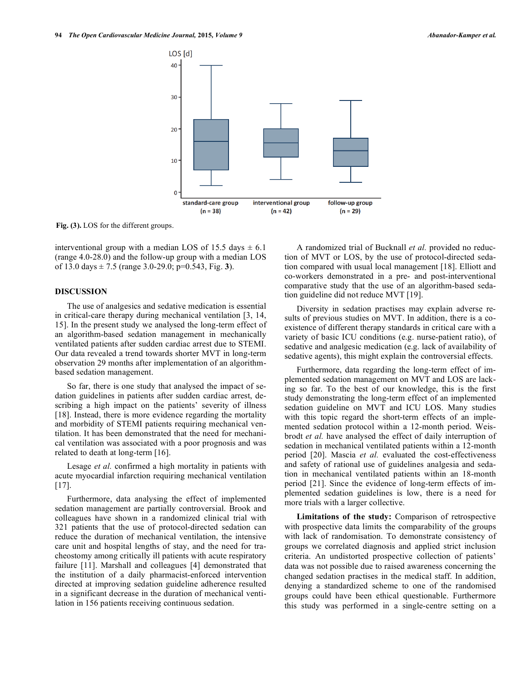

**Fig. (3).** LOS for the different groups.

interventional group with a median LOS of 15.5 days  $\pm$  6.1 (range 4.0-28.0) and the follow-up group with a median LOS of 13.0 days ± 7.5 (range 3.0-29.0; p=0.543, Fig. **3**).

# **DISCUSSION**

The use of analgesics and sedative medication is essential in critical-care therapy during mechanical ventilation [3, 14, 15]. In the present study we analysed the long-term effect of an algorithm-based sedation management in mechanically ventilated patients after sudden cardiac arrest due to STEMI. Our data revealed a trend towards shorter MVT in long-term observation 29 months after implementation of an algorithmbased sedation management.

So far, there is one study that analysed the impact of sedation guidelines in patients after sudden cardiac arrest, describing a high impact on the patients' severity of illness [18]. Instead, there is more evidence regarding the mortality and morbidity of STEMI patients requiring mechanical ventilation. It has been demonstrated that the need for mechanical ventilation was associated with a poor prognosis and was related to death at long-term [16].

Lesage *et al.* confirmed a high mortality in patients with acute myocardial infarction requiring mechanical ventilation [17].

Furthermore, data analysing the effect of implemented sedation management are partially controversial. Brook and colleagues have shown in a randomized clinical trial with 321 patients that the use of protocol-directed sedation can reduce the duration of mechanical ventilation, the intensive care unit and hospital lengths of stay, and the need for tracheostomy among critically ill patients with acute respiratory failure [11]. Marshall and colleagues [4] demonstrated that the institution of a daily pharmacist-enforced intervention directed at improving sedation guideline adherence resulted in a significant decrease in the duration of mechanical ventilation in 156 patients receiving continuous sedation.

A randomized trial of Bucknall *et al.* provided no reduction of MVT or LOS, by the use of protocol-directed sedation compared with usual local management [18]. Elliott and co-workers demonstrated in a pre- and post-interventional comparative study that the use of an algorithm-based sedation guideline did not reduce MVT [19].

Diversity in sedation practises may explain adverse results of previous studies on MVT. In addition, there is a coexistence of different therapy standards in critical care with a variety of basic ICU conditions (e.g. nurse-patient ratio), of sedative and analgesic medication (e.g. lack of availability of sedative agents), this might explain the controversial effects.

Furthermore, data regarding the long-term effect of implemented sedation management on MVT and LOS are lacking so far. To the best of our knowledge, this is the first study demonstrating the long-term effect of an implemented sedation guideline on MVT and ICU LOS. Many studies with this topic regard the short-term effects of an implemented sedation protocol within a 12-month period. Weisbrodt *et al.* have analysed the effect of daily interruption of sedation in mechanical ventilated patients within a 12-month period [20]. Mascia *et al.* evaluated the cost-effectiveness and safety of rational use of guidelines analgesia and sedation in mechanical ventilated patients within an 18-month period [21]. Since the evidence of long-term effects of implemented sedation guidelines is low, there is a need for more trials with a larger collective.

**Limitations of the study:** Comparison of retrospective with prospective data limits the comparability of the groups with lack of randomisation. To demonstrate consistency of groups we correlated diagnosis and applied strict inclusion criteria. An undistorted prospective collection of patients' data was not possible due to raised awareness concerning the changed sedation practises in the medical staff. In addition, denying a standardized scheme to one of the randomised groups could have been ethical questionable. Furthermore this study was performed in a single-centre setting on a